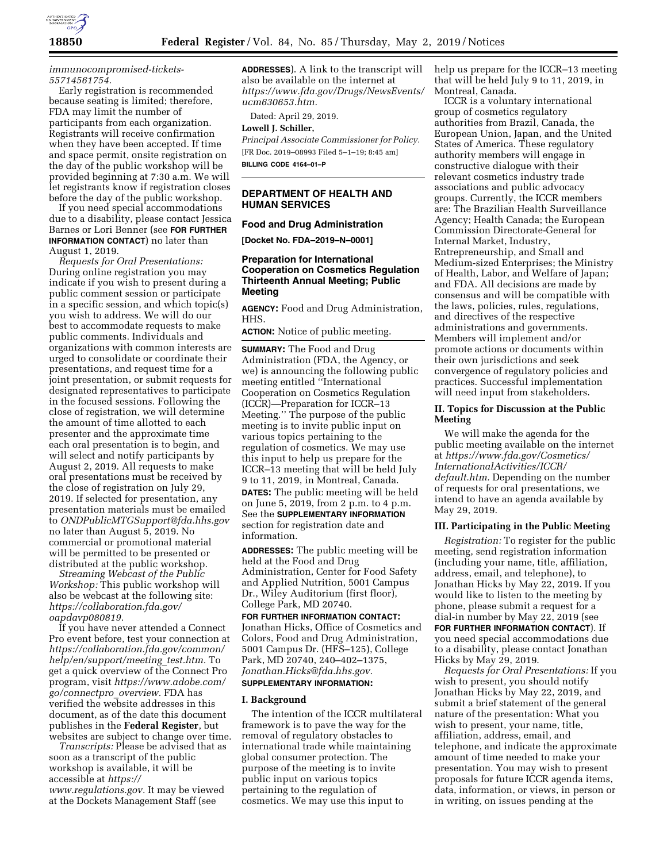

# *[immunocompromised-tickets-](https://www.eventbrite.com/e/development-of-antiviral-drugs-for-the-treatment-of-adenoviral-infection-in-immunocompromised-tickets-55714561754)[55714561754.](https://www.eventbrite.com/e/development-of-antiviral-drugs-for-the-treatment-of-adenoviral-infection-in-immunocompromised-tickets-55714561754)*

Early registration is recommended because seating is limited; therefore, FDA may limit the number of participants from each organization. Registrants will receive confirmation when they have been accepted. If time and space permit, onsite registration on the day of the public workshop will be provided beginning at 7:30 a.m. We will let registrants know if registration closes before the day of the public workshop.

If you need special accommodations due to a disability, please contact Jessica Barnes or Lori Benner (see **FOR FURTHER INFORMATION CONTACT**) no later than August 1, 2019.

*Requests for Oral Presentations:*  During online registration you may indicate if you wish to present during a public comment session or participate in a specific session, and which topic(s) you wish to address. We will do our best to accommodate requests to make public comments. Individuals and organizations with common interests are urged to consolidate or coordinate their presentations, and request time for a joint presentation, or submit requests for designated representatives to participate in the focused sessions. Following the close of registration, we will determine the amount of time allotted to each presenter and the approximate time each oral presentation is to begin, and will select and notify participants by August 2, 2019. All requests to make oral presentations must be received by the close of registration on July 29, 2019. If selected for presentation, any presentation materials must be emailed to *[ONDPublicMTGSupport@fda.hhs.gov](mailto:ONDPublicMTGSupport@fda.hhs.gov)*  no later than August 5, 2019. No commercial or promotional material will be permitted to be presented or distributed at the public workshop.

*Streaming Webcast of the Public Workshop:* This public workshop will also be webcast at the following site: *[https://collaboration.fda.gov/](https://collaboration.fda.gov/oapdavp080819)  [oapdavp080819.](https://collaboration.fda.gov/oapdavp080819)* 

If you have never attended a Connect Pro event before, test your connection at *[https://collaboration.fda.gov/common/](https://collaboration.fda.gov/common/help/en/support/meeting_test.htm) [help/en/support/meeting](https://collaboration.fda.gov/common/help/en/support/meeting_test.htm)*\_*test.htm.* To get a quick overview of the Connect Pro program, visit *[https://www.adobe.com/](https://www.adobe.com/go/connectpro_overview)  [go/connectpro](https://www.adobe.com/go/connectpro_overview)*\_*overview.* FDA has verified the website addresses in this document, as of the date this document publishes in the **Federal Register**, but websites are subject to change over time.

*Transcripts:* Please be advised that as soon as a transcript of the public workshop is available, it will be accessible at *[https://](https://www.regulations.gov) [www.regulations.gov.](https://www.regulations.gov)* It may be viewed at the Dockets Management Staff (see

**ADDRESSES**). A link to the transcript will also be available on the internet at *[https://www.fda.gov/Drugs/NewsEvents/](https://www.fda.gov/Drugs/NewsEvents/ucm630653.htm)  [ucm630653.htm.](https://www.fda.gov/Drugs/NewsEvents/ucm630653.htm)* 

Dated: April 29, 2019.

### **Lowell J. Schiller,**

*Principal Associate Commissioner for Policy.*  [FR Doc. 2019–08993 Filed 5–1–19; 8:45 am] **BILLING CODE 4164–01–P** 

### **DEPARTMENT OF HEALTH AND HUMAN SERVICES**

#### **Food and Drug Administration**

**[Docket No. FDA–2019–N–0001]** 

## **Preparation for International Cooperation on Cosmetics Regulation Thirteenth Annual Meeting; Public Meeting**

**AGENCY:** Food and Drug Administration, HHS.

**ACTION:** Notice of public meeting.

**SUMMARY:** The Food and Drug Administration (FDA, the Agency, or we) is announcing the following public meeting entitled ''International Cooperation on Cosmetics Regulation (ICCR)—Preparation for ICCR–13 Meeting.'' The purpose of the public meeting is to invite public input on various topics pertaining to the regulation of cosmetics. We may use this input to help us prepare for the ICCR–13 meeting that will be held July 9 to 11, 2019, in Montreal, Canada. **DATES:** The public meeting will be held on June 5, 2019, from 2 p.m. to 4 p.m. See the **SUPPLEMENTARY INFORMATION** section for registration date and information.

**ADDRESSES:** The public meeting will be held at the Food and Drug Administration, Center for Food Safety and Applied Nutrition, 5001 Campus Dr., Wiley Auditorium (first floor), College Park, MD 20740.

**FOR FURTHER INFORMATION CONTACT:**  Jonathan Hicks, Office of Cosmetics and Colors, Food and Drug Administration, 5001 Campus Dr. (HFS–125), College Park, MD 20740, 240–402–1375, *[Jonathan.Hicks@fda.hhs.gov.](mailto:Jonathan.Hicks@fda.hhs.gov)*  **SUPPLEMENTARY INFORMATION:** 

### **I. Background**

The intention of the ICCR multilateral framework is to pave the way for the removal of regulatory obstacles to international trade while maintaining global consumer protection. The purpose of the meeting is to invite public input on various topics pertaining to the regulation of cosmetics. We may use this input to

help us prepare for the ICCR–13 meeting that will be held July 9 to 11, 2019, in Montreal, Canada.

ICCR is a voluntary international group of cosmetics regulatory authorities from Brazil, Canada, the European Union, Japan, and the United States of America. These regulatory authority members will engage in constructive dialogue with their relevant cosmetics industry trade associations and public advocacy groups. Currently, the ICCR members are: The Brazilian Health Surveillance Agency; Health Canada; the European Commission Directorate-General for Internal Market, Industry, Entrepreneurship, and Small and Medium-sized Enterprises; the Ministry of Health, Labor, and Welfare of Japan; and FDA. All decisions are made by consensus and will be compatible with the laws, policies, rules, regulations, and directives of the respective administrations and governments. Members will implement and/or promote actions or documents within their own jurisdictions and seek convergence of regulatory policies and practices. Successful implementation will need input from stakeholders.

### **II. Topics for Discussion at the Public Meeting**

We will make the agenda for the public meeting available on the internet at *[https://www.fda.gov/Cosmetics/](https://www.fda.gov/Cosmetics/InternationalActivities/ICCR/default.htm) [InternationalActivities/ICCR/](https://www.fda.gov/Cosmetics/InternationalActivities/ICCR/default.htm) [default.htm.](https://www.fda.gov/Cosmetics/InternationalActivities/ICCR/default.htm)* Depending on the number of requests for oral presentations, we intend to have an agenda available by May 29, 2019.

# **III. Participating in the Public Meeting**

*Registration:* To register for the public meeting, send registration information (including your name, title, affiliation, address, email, and telephone), to Jonathan Hicks by May 22, 2019. If you would like to listen to the meeting by phone, please submit a request for a dial-in number by May 22, 2019 (see **FOR FURTHER INFORMATION CONTACT**). If you need special accommodations due to a disability, please contact Jonathan Hicks by May 29, 2019.

*Requests for Oral Presentations:* If you wish to present, you should notify Jonathan Hicks by May 22, 2019, and submit a brief statement of the general nature of the presentation: What you wish to present, your name, title, affiliation, address, email, and telephone, and indicate the approximate amount of time needed to make your presentation. You may wish to present proposals for future ICCR agenda items, data, information, or views, in person or in writing, on issues pending at the